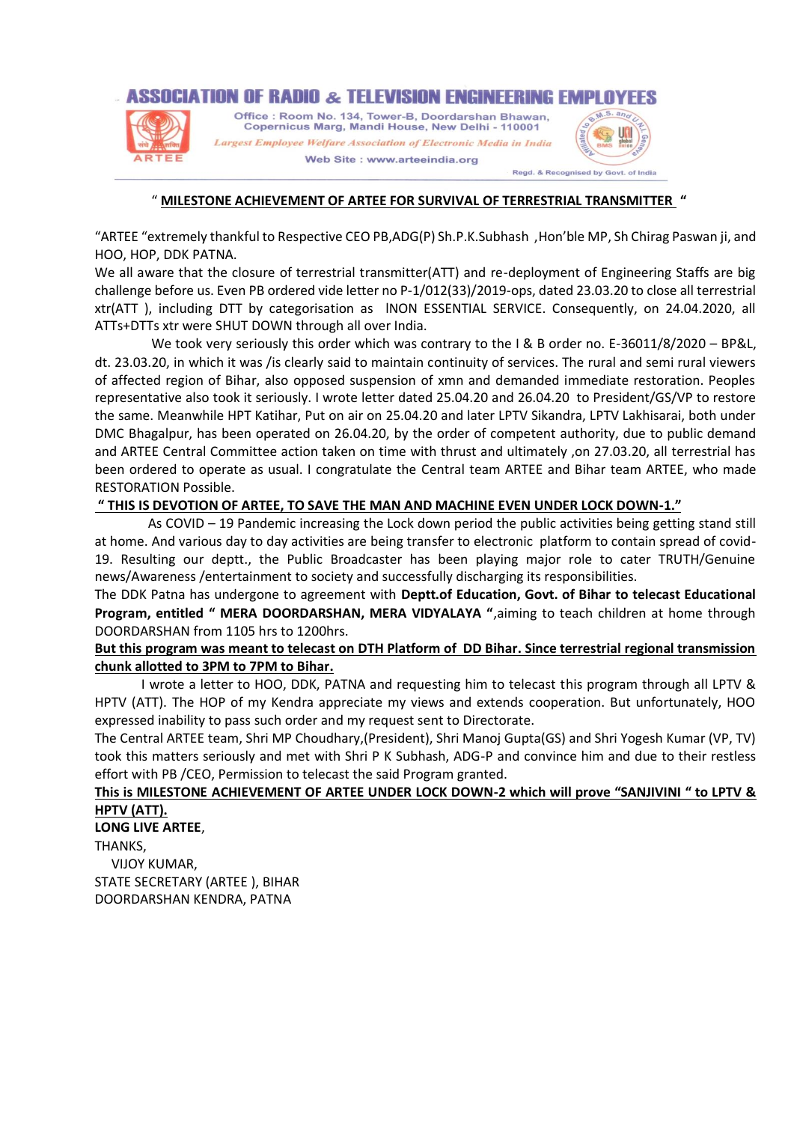# **ASSOCIATION OF RADIO & TELEVISION ENGINEERING EMPL**



Office: Room No. 134, Tower-B, Doordarshan Bhawan, Copernicus Marg, Mandi House, New Delhi - 110001 Largest Employee Welfare Association of Electronic Media in India

Web Site: www.arteeindia.org



Read, & Recognised by Goyt, of India

#### " **MILESTONE ACHIEVEMENT OF ARTEE FOR SURVIVAL OF TERRESTRIAL TRANSMITTER "**

"ARTEE "extremely thankful to Respective CEO PB,ADG(P) Sh.P.K.Subhash ,Hon'ble MP, Sh Chirag Paswan ji, and HOO, HOP, DDK PATNA.

We all aware that the closure of terrestrial transmitter(ATT) and re-deployment of Engineering Staffs are big challenge before us. Even PB ordered vide letter no P-1/012(33)/2019-ops, dated 23.03.20 to close all terrestrial xtr(ATT ), including DTT by categorisation as lNON ESSENTIAL SERVICE. Consequently, on 24.04.2020, all ATTs+DTTs xtr were SHUT DOWN through all over India.

We took very seriously this order which was contrary to the I & B order no. E-36011/8/2020 - BP&L, dt. 23.03.20, in which it was /is clearly said to maintain continuity of services. The rural and semi rural viewers of affected region of Bihar, also opposed suspension of xmn and demanded immediate restoration. Peoples representative also took it seriously. I wrote letter dated 25.04.20 and 26.04.20 to President/GS/VP to restore the same. Meanwhile HPT Katihar, Put on air on 25.04.20 and later LPTV Sikandra, LPTV Lakhisarai, both under DMC Bhagalpur, has been operated on 26.04.20, by the order of competent authority, due to public demand and ARTEE Central Committee action taken on time with thrust and ultimately ,on 27.03.20, all terrestrial has been ordered to operate as usual. I congratulate the Central team ARTEE and Bihar team ARTEE, who made RESTORATION Possible.

### **" THIS IS DEVOTION OF ARTEE, TO SAVE THE MAN AND MACHINE EVEN UNDER LOCK DOWN-1."**

 As COVID – 19 Pandemic increasing the Lock down period the public activities being getting stand still at home. And various day to day activities are being transfer to electronic platform to contain spread of covid-19. Resulting our deptt., the Public Broadcaster has been playing major role to cater TRUTH/Genuine news/Awareness /entertainment to society and successfully discharging its responsibilities.

The DDK Patna has undergone to agreement with **Deptt.of Education, Govt. of Bihar to telecast Educational Program, entitled " MERA DOORDARSHAN, MERA VIDYALAYA "**,aiming to teach children at home through DOORDARSHAN from 1105 hrs to 1200hrs.

## **But this program was meant to telecast on DTH Platform of DD Bihar. Since terrestrial regional transmission chunk allotted to 3PM to 7PM to Bihar.**

I wrote a letter to HOO, DDK, PATNA and requesting him to telecast this program through all LPTV & HPTV (ATT). The HOP of my Kendra appreciate my views and extends cooperation. But unfortunately, HOO expressed inability to pass such order and my request sent to Directorate.

The Central ARTEE team, Shri MP Choudhary,(President), Shri Manoj Gupta(GS) and Shri Yogesh Kumar (VP, TV) took this matters seriously and met with Shri P K Subhash, ADG-P and convince him and due to their restless effort with PB /CEO, Permission to telecast the said Program granted.

## **This is MILESTONE ACHIEVEMENT OF ARTEE UNDER LOCK DOWN-2 which will prove "SANJIVINI " to LPTV & HPTV (ATT).**

**LONG LIVE ARTEE**, THANKS, VIJOY KUMAR, STATE SECRETARY (ARTEE ), BIHAR DOORDARSHAN KENDRA, PATNA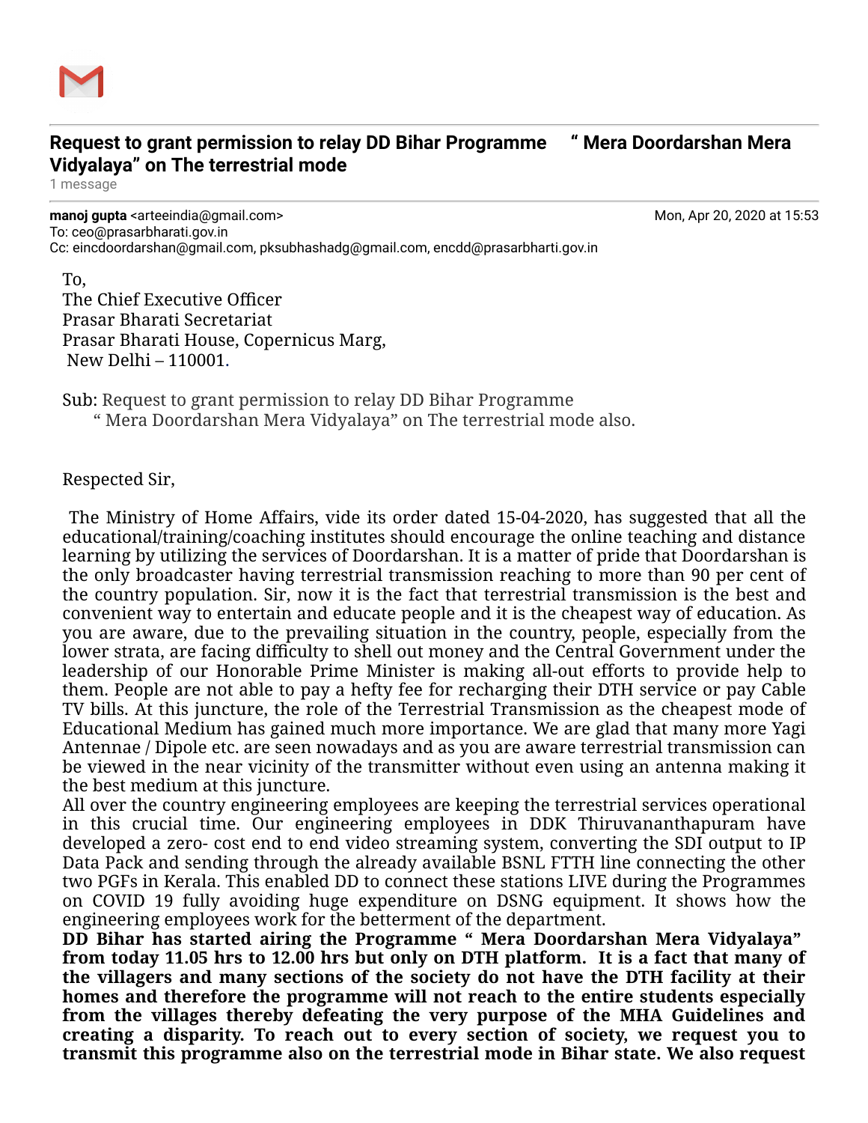

# **Request to grant permission to relay DD Bihar Programme " Mera Doordarshan Mera Vidyalaya" on The terrestrial mode**

1 message

**manoj gupta** <arteeindia@gmail.com> Mon, Apr 20, 2020 at 15:53 To: ceo@prasarbharati.gov.in Cc: eincdoordarshan@gmail.com, pksubhashadg@gmail.com, encdd@prasarbharti.gov.in

To, The Chief Executive Officer Prasar Bharati Secretariat Prasar Bharati House, Copernicus Marg, New Delhi – 110001.

Sub: Request to grant permission to relay DD Bihar Programme " Mera Doordarshan Mera Vidyalaya" on The terrestrial mode also.

Respected Sir,

The Ministry of Home Affairs, vide its order dated 15-04-2020, has suggested that all the educational/training/coaching institutes should encourage the online teaching and distance learning by utilizing the services of Doordarshan. It is a matter of pride that Doordarshan is the only broadcaster having terrestrial transmission reaching to more than 90 per cent of the country population. Sir, now it is the fact that terrestrial transmission is the best and convenient way to entertain and educate people and it is the cheapest way of education. As you are aware, due to the prevailing situation in the country, people, especially from the lower strata, are facing difficulty to shell out money and the Central Government under the leadership of our Honorable Prime Minister is making all-out efforts to provide help to them. People are not able to pay a hefty fee for recharging their DTH service or pay Cable TV bills. At this juncture, the role of the Terrestrial Transmission as the cheapest mode of Educational Medium has gained much more importance. We are glad that many more Yagi Antennae / Dipole etc. are seen nowadays and as you are aware terrestrial transmission can be viewed in the near vicinity of the transmitter without even using an antenna making it the best medium at this juncture.

All over the country engineering employees are keeping the terrestrial services operational in this crucial time. Our engineering employees in DDK Thiruvananthapuram have developed a zero- cost end to end video streaming system, converting the SDI output to IP Data Pack and sending through the already available BSNL FTTH line connecting the other two PGFs in Kerala. This enabled DD to connect these stations LIVE during the Programmes on COVID 19 fully avoiding huge expenditure on DSNG equipment. It shows how the engineering employees work for the betterment of the department.

**DD Bihar has started airing the Programme " Mera Doordarshan Mera Vidyalaya" from today 11.05 hrs to 12.00 hrs but only on DTH platform. It is a fact that many of the villagers and many sections of the society do not have the DTH facility at their homes and therefore the programme will not reach to the entire students especially from the villages thereby defeating the very purpose of the MHA Guidelines and creating a disparity. To reach out to every section of society, we request you to transmit this programme also on the terrestrial mode in Bihar state. We also request**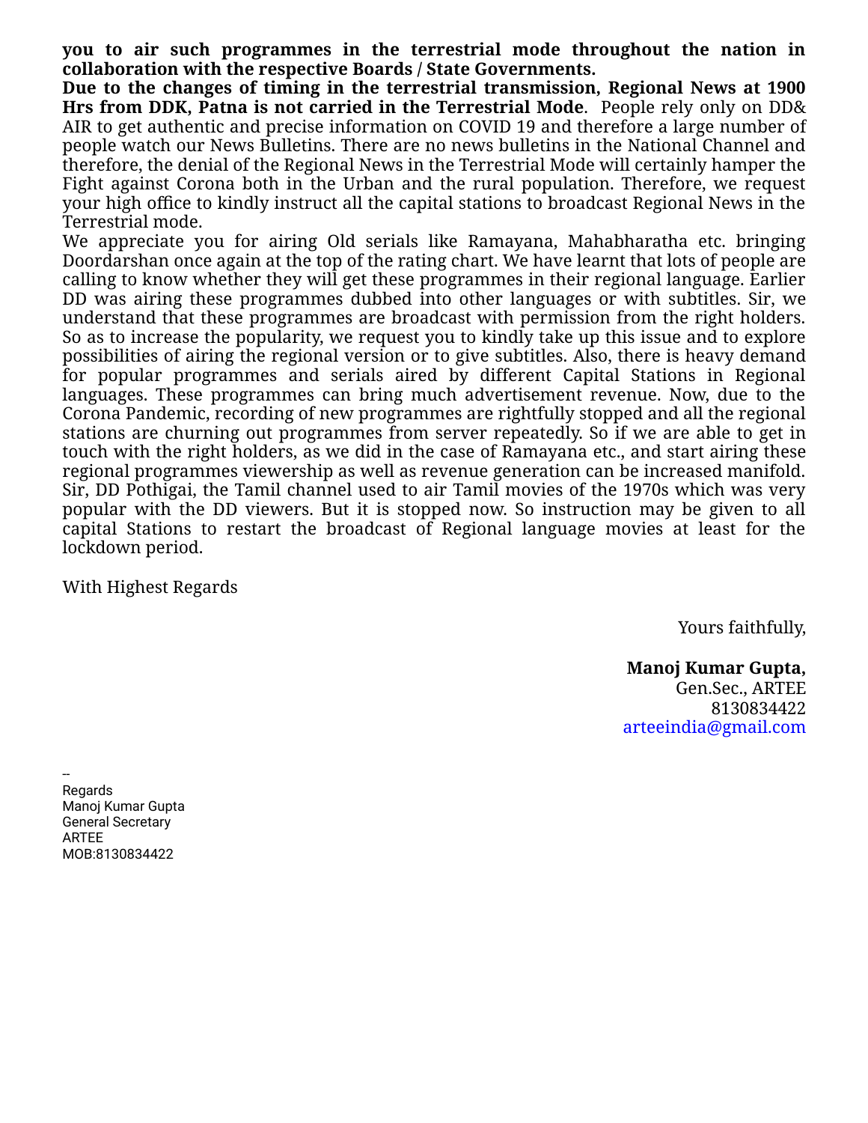**you to air such programmes in the terrestrial mode throughout the nation in collaboration with the respective Boards / State Governments.**

**Due to the changes of timing in the terrestrial transmission, Regional News at 1900 Hrs from DDK, Patna is not carried in the Terrestrial Mode**. People rely only on DD& AIR to get authentic and precise information on COVID 19 and therefore a large number of people watch our News Bulletins. There are no news bulletins in the National Channel and therefore, the denial of the Regional News in the Terrestrial Mode will certainly hamper the Fight against Corona both in the Urban and the rural population. Therefore, we request your high office to kindly instruct all the capital stations to broadcast Regional News in the Terrestrial mode.

We appreciate you for airing Old serials like Ramayana, Mahabharatha etc. bringing Doordarshan once again at the top of the rating chart. We have learnt that lots of people are calling to know whether they will get these programmes in their regional language. Earlier DD was airing these programmes dubbed into other languages or with subtitles. Sir, we understand that these programmes are broadcast with permission from the right holders. So as to increase the popularity, we request you to kindly take up this issue and to explore possibilities of airing the regional version or to give subtitles. Also, there is heavy demand for popular programmes and serials aired by different Capital Stations in Regional languages. These programmes can bring much advertisement revenue. Now, due to the Corona Pandemic, recording of new programmes are rightfully stopped and all the regional stations are churning out programmes from server repeatedly. So if we are able to get in touch with the right holders, as we did in the case of Ramayana etc., and start airing these regional programmes viewership as well as revenue generation can be increased manifold. Sir, DD Pothigai, the Tamil channel used to air Tamil movies of the 1970s which was very popular with the DD viewers. But it is stopped now. So instruction may be given to all capital Stations to restart the broadcast of Regional language movies at least for the lockdown period.

With Highest Regards

Yours faithfully,

 **Manoj Kumar Gupta,** Gen.Sec., ARTEE 8130834422 [arteeindia@gmail.com](mailto:arteeindia@gmail.com)

-- Regards Manoj Kumar Gupta General Secretary ARTEE MOB:8130834422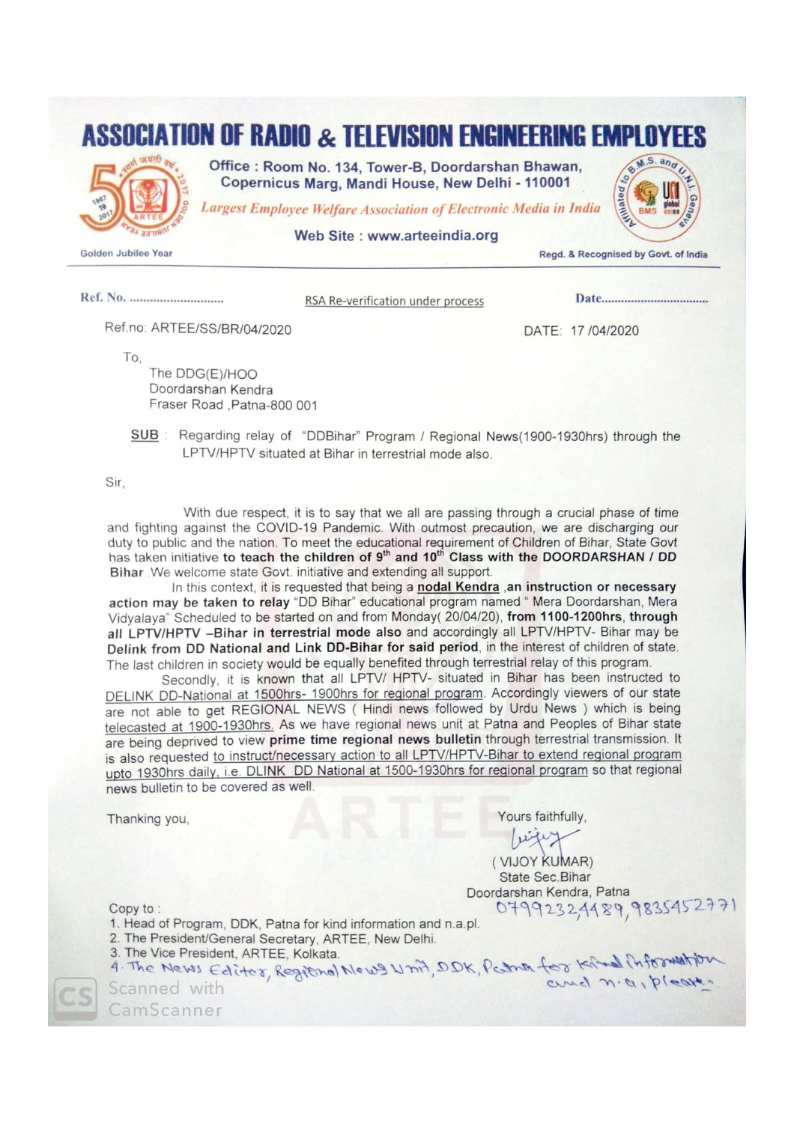

RSA Re-verification under process

Ref.no: ARTEE/SS/BR/04/2020

DATE: 17 /04/2020

To,

The DDG(E)/HOO Doordarshan Kendra Fraser Road, Patna-800 001

SUB: Regarding relay of "DDBihar" Program / Regional News(1900-1930hrs) through the LPTV/HPTV situated at Bihar in terrestrial mode also.

Sir.

With due respect, it is to say that we all are passing through a crucial phase of time and fighting against the COVID-19 Pandemic. With outmost precaution, we are discharging our duty to public and the nation. To meet the educational requirement of Children of Bihar, State Govt has taken initiative to teach the children of 9<sup>th</sup> and 10<sup>th</sup> Class with the DOORDARSHAN / DD Bihar. We welcome state Govt. initiative and extending all support.

In this context, it is requested that being a nodal Kendra, an instruction or necessary action may be taken to relay "DD Bihar" educational program named " Mera Doordarshan, Mera Vidvalava" Scheduled to be started on and from Monday(20/04/20), from 1100-1200hrs, through all LPTV/HPTV -Bihar in terrestrial mode also and accordingly all LPTV/HPTV- Bihar may be Delink from DD National and Link DD-Bihar for said period, in the interest of children of state. The last children in society would be equally benefited through terrestrial relay of this program.

Secondly, it is known that all LPTV/ HPTV- situated in Bihar has been instructed to DELINK DD-National at 1500hrs- 1900hrs for regional program. Accordingly viewers of our state are not able to get REGIONAL NEWS (Hindi news followed by Urdu News) which is being telecasted at 1900-1930hrs. As we have regional news unit at Patna and Peoples of Bihar state are being deprived to view prime time regional news bulletin through terrestrial transmission. It is also requested to instruct/necessary action to all LPTV/HPTV-Bihar to extend regional program upto 1930hrs daily, i.e. DLINK DD National at 1500-1930hrs for regional program so that regional news bulletin to be covered as well.

Thanking you,

Yours faithfully.

(VIJOY KUMAR) State Sec. Bihar Doordarshan Kendra, Patna 0799232,4489,9835452771

Copy to:

CamScanner

- 1. Head of Program, DDK, Patna for kind information and n.a.pl.
- 2. The President/General Secretary, ARTEE, New Delhi.
- 

3. The Vice President, ARTEE, Kolkata.<br>4. The News Editor, Regional News Umit, DDK, Petra for Kimal Information Scanned with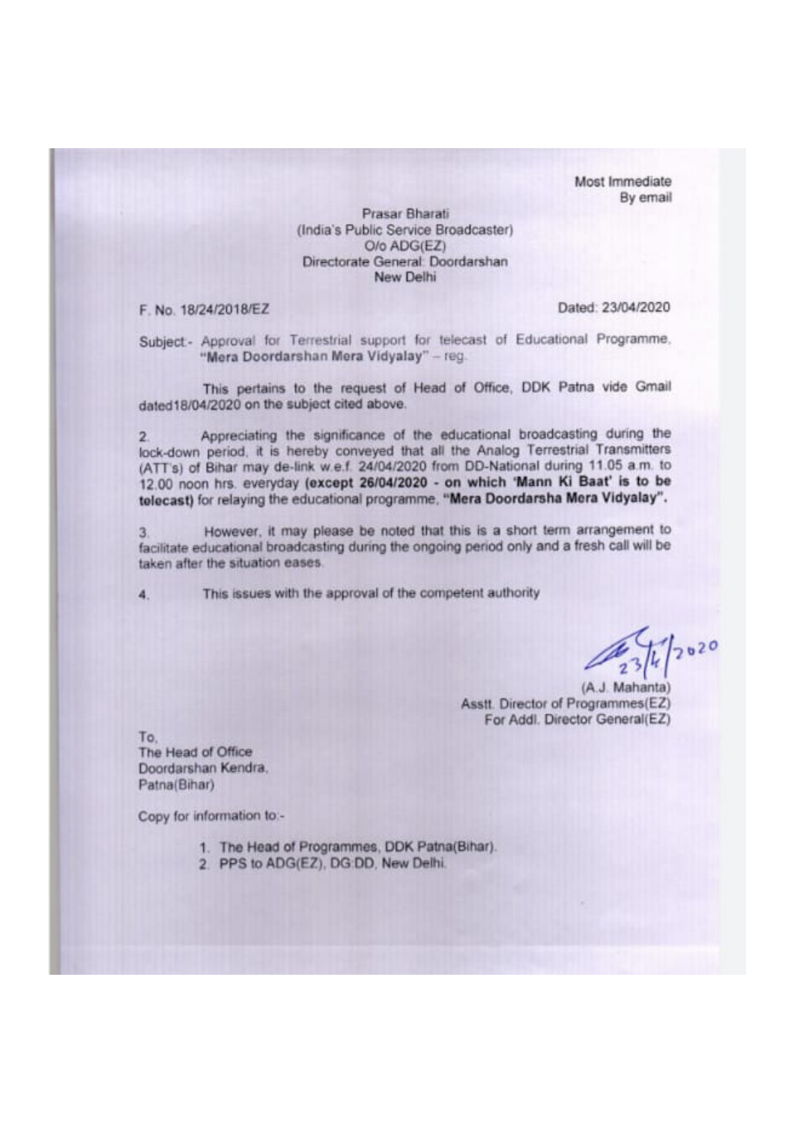Most Immediate By email

#### Prasar Bharati (India's Public Service Broadcaster) O/o ADG(EZ) Directorate General: Doordarshan New Delhi

F. No. 18/24/2018/EZ

Dated: 23/04/2020

Subject - Approval for Terrestrial support for telecast of Educational Programme. "Mera Doordarshan Mera Vidyalay" - reg.

This pertains to the request of Head of Office, DDK Patna vide Gmail dated18/04/2020 on the subject cited above.

Appreciating the significance of the educational broadcasting during the  $\overline{2}$ lock-down period, it is hereby conveyed that all the Analog Terrestrial Transmitters (ATT's) of Bihar may de-link w.e.f. 24/04/2020 from DD-National during 11.05 a.m. to 12.00 noon hrs. everyday (except 26/04/2020 - on which 'Mann Ki Baat' is to be telecast) for relaying the educational programme, "Mera Doordarsha Mera Vidyalay".

However, it may please be noted that this is a short term arrangement to  $3$ facilitate educational broadcasting during the ongoing period only and a fresh call will be taken after the situation eases.

This issues with the approval of the competent authority

 $20^{20}$ 

(A.J. Mahanta) Asstt. Director of Programmes(EZ) For Addl. Director General(EZ)

To. The Head of Office Doordarshan Kendra. Patna(Bihar)

Copy for information to -

- 1. The Head of Programmes, DDK Patna(Bihar).
- 2. PPS to ADG(EZ), DG DD, New Delhi.